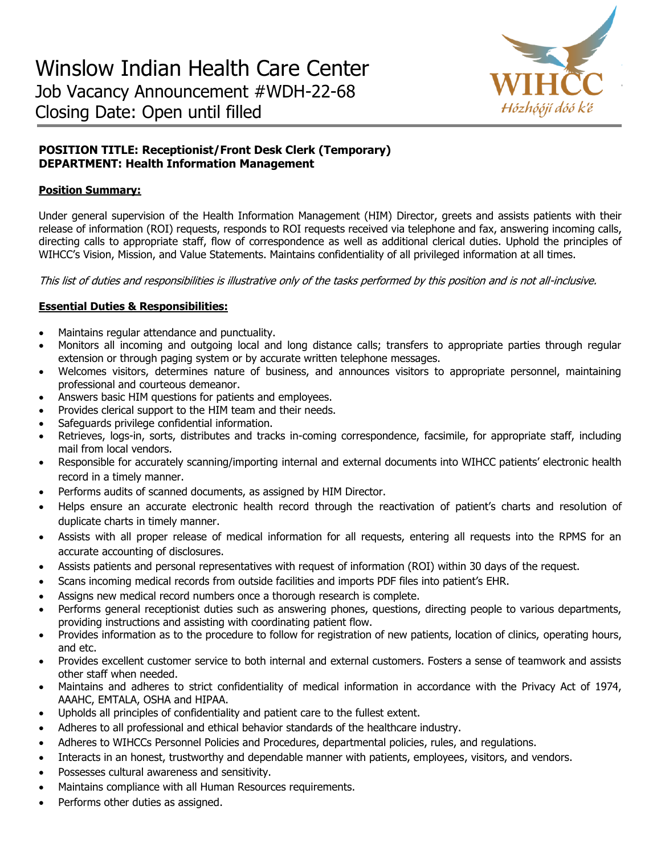

# **POSITION TITLE: Receptionist/Front Desk Clerk (Temporary) DEPARTMENT: Health Information Management**

### **Position Summary:**

Under general supervision of the Health Information Management (HIM) Director, greets and assists patients with their release of information (ROI) requests, responds to ROI requests received via telephone and fax, answering incoming calls, directing calls to appropriate staff, flow of correspondence as well as additional clerical duties. Uphold the principles of WIHCC's Vision, Mission, and Value Statements. Maintains confidentiality of all privileged information at all times.

This list of duties and responsibilities is illustrative only of the tasks performed by this position and is not all-inclusive.

## **Essential Duties & Responsibilities:**

- Maintains regular attendance and punctuality.
- Monitors all incoming and outgoing local and long distance calls; transfers to appropriate parties through regular extension or through paging system or by accurate written telephone messages.
- Welcomes visitors, determines nature of business, and announces visitors to appropriate personnel, maintaining professional and courteous demeanor.
- Answers basic HIM questions for patients and employees.
- Provides clerical support to the HIM team and their needs.
- Safeguards privilege confidential information.
- Retrieves, logs-in, sorts, distributes and tracks in-coming correspondence, facsimile, for appropriate staff, including mail from local vendors.
- Responsible for accurately scanning/importing internal and external documents into WIHCC patients' electronic health record in a timely manner.
- Performs audits of scanned documents, as assigned by HIM Director.
- Helps ensure an accurate electronic health record through the reactivation of patient's charts and resolution of duplicate charts in timely manner.
- Assists with all proper release of medical information for all requests, entering all requests into the RPMS for an accurate accounting of disclosures.
- Assists patients and personal representatives with request of information (ROI) within 30 days of the request.
- Scans incoming medical records from outside facilities and imports PDF files into patient's EHR.
- Assigns new medical record numbers once a thorough research is complete.
- Performs general receptionist duties such as answering phones, questions, directing people to various departments, providing instructions and assisting with coordinating patient flow.
- Provides information as to the procedure to follow for registration of new patients, location of clinics, operating hours, and etc.
- Provides excellent customer service to both internal and external customers. Fosters a sense of teamwork and assists other staff when needed.
- Maintains and adheres to strict confidentiality of medical information in accordance with the Privacy Act of 1974, AAAHC, EMTALA, OSHA and HIPAA.
- Upholds all principles of confidentiality and patient care to the fullest extent.
- Adheres to all professional and ethical behavior standards of the healthcare industry.
- Adheres to WIHCCs Personnel Policies and Procedures, departmental policies, rules, and regulations.
- Interacts in an honest, trustworthy and dependable manner with patients, employees, visitors, and vendors.
- Possesses cultural awareness and sensitivity.
- Maintains compliance with all Human Resources requirements.
- Performs other duties as assigned.